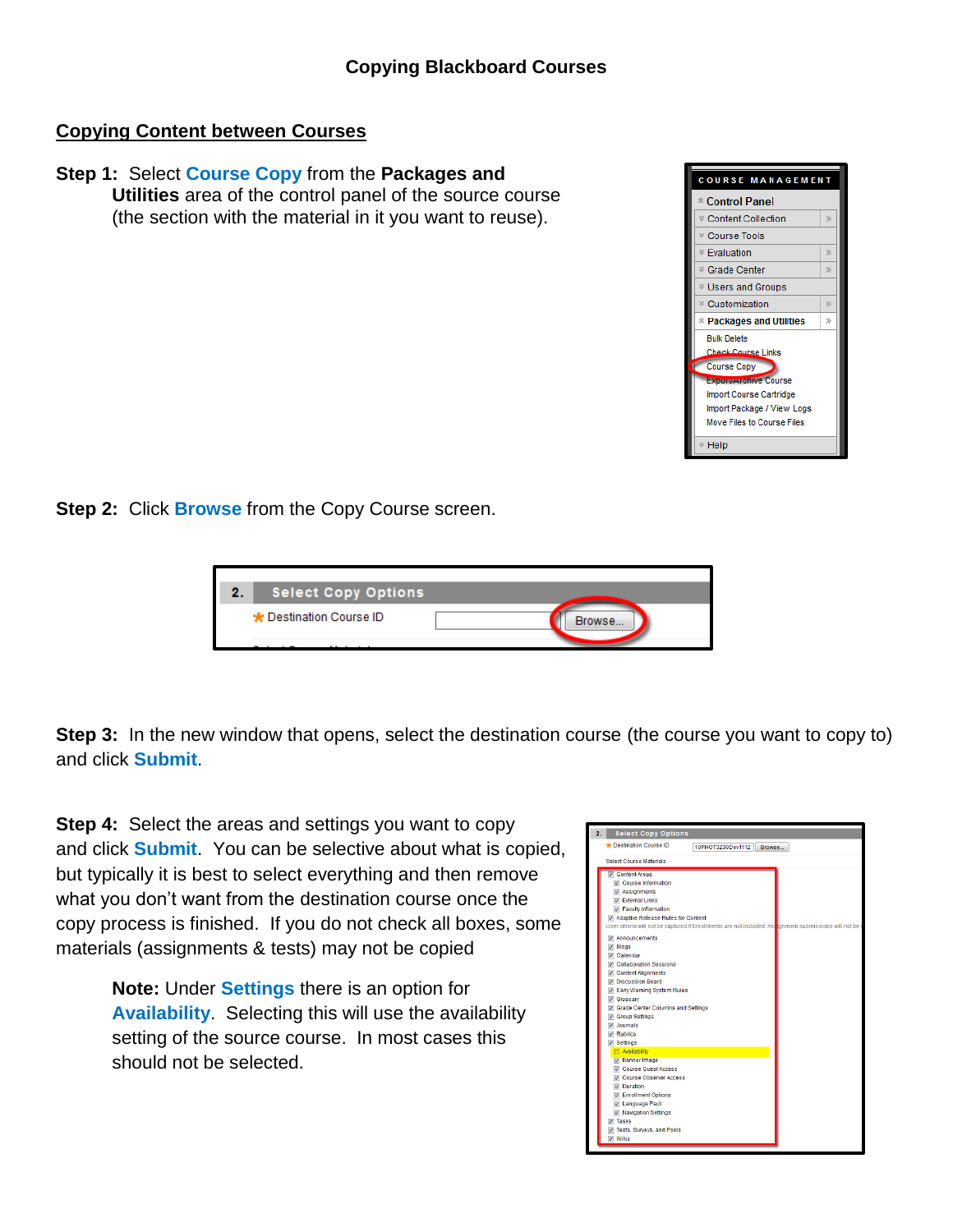## **Copying Content between Courses**

## **Step 1:** Select **Course Copy** from the **Packages and Utilities** area of the control panel of the source course (the section with the material in it you want to reuse).



**Step 2: Click Browse** from the Copy Course screen.



**Step 3:** In the new window that opens, select the destination course (the course you want to copy to) and click **Submit**.

**Step 4:** Select the areas and settings you want to copy and click **Submit**. You can be selective about what is copied, but typically it is best to select everything and then remove what you don't want from the destination course once the copy process is finished. If you do not check all boxes, some materials (assignments & tests) may not be copied

> **Note:** Under **Settings** there is an option for **Availability**. Selecting this will use the availability setting of the source course. In most cases this should not be selected.